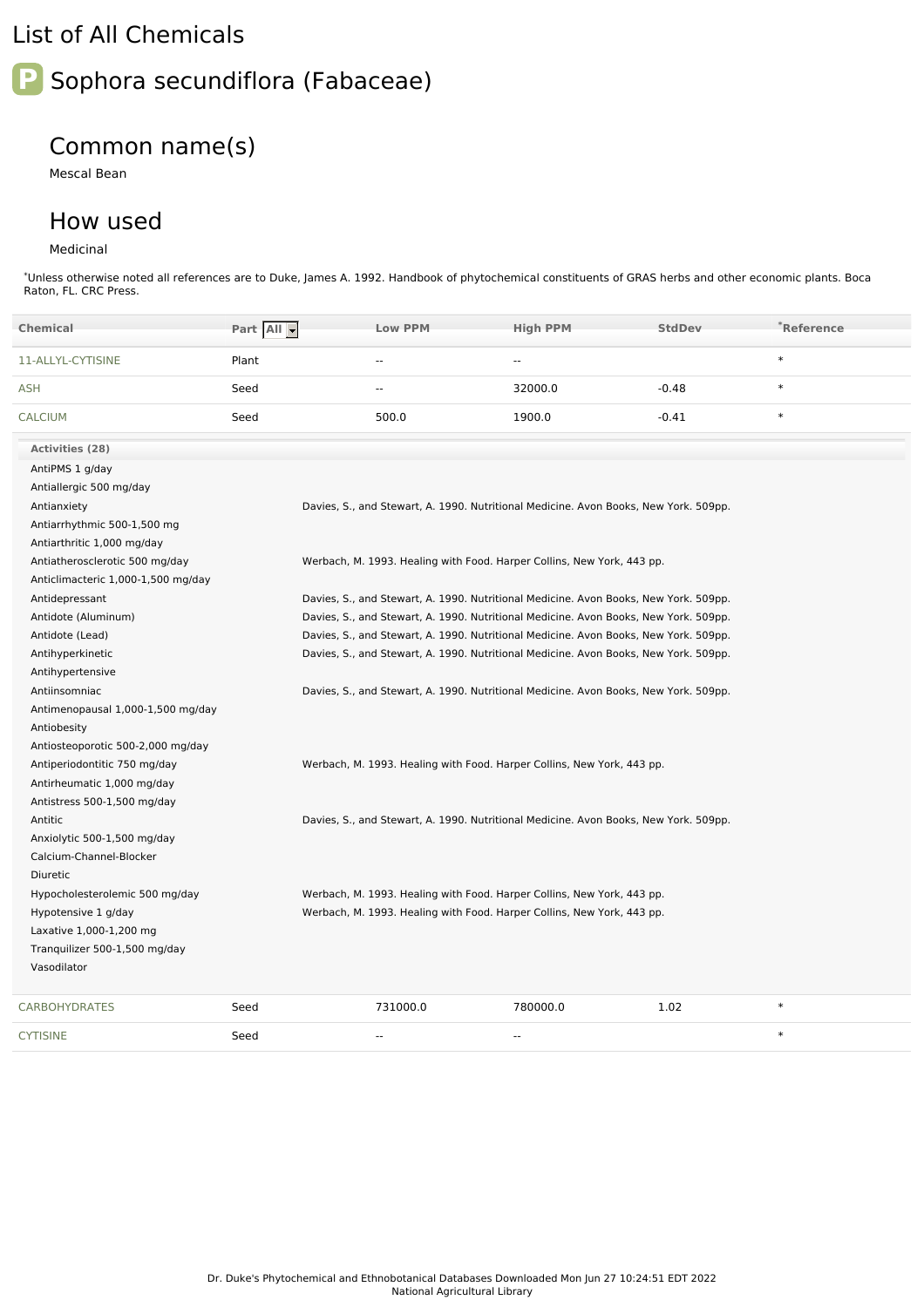## List of All Chemicals



## Common name(s)

Mescal Bean

## How used

## Medicinal

\*Unless otherwise noted all references are to Duke, James A. 1992. Handbook of phytochemical constituents of GRAS herbs and other economic plants. Boca Raton, FL. CRC Press.

| <b>Chemical</b>                    | Part All | <b>Low PPM</b>                                                                       | <b>High PPM</b> | <b>StdDev</b> | *Reference |
|------------------------------------|----------|--------------------------------------------------------------------------------------|-----------------|---------------|------------|
| 11-ALLYL-CYTISINE                  | Plant    | $\sim$                                                                               | $\sim$          |               | $\ast$     |
| <b>ASH</b>                         | Seed     | $\sim$                                                                               | 32000.0         | $-0.48$       | $\ast$     |
| <b>CALCIUM</b>                     | Seed     | 500.0                                                                                | 1900.0          | $-0.41$       | $\ast$     |
| <b>Activities (28)</b>             |          |                                                                                      |                 |               |            |
| AntiPMS 1 g/day                    |          |                                                                                      |                 |               |            |
| Antiallergic 500 mg/day            |          |                                                                                      |                 |               |            |
| Antianxiety                        |          | Davies, S., and Stewart, A. 1990. Nutritional Medicine. Avon Books, New York. 509pp. |                 |               |            |
| Antiarrhythmic 500-1,500 mg        |          |                                                                                      |                 |               |            |
| Antiarthritic 1,000 mg/day         |          |                                                                                      |                 |               |            |
| Antiatherosclerotic 500 mg/day     |          | Werbach, M. 1993. Healing with Food. Harper Collins, New York, 443 pp.               |                 |               |            |
| Anticlimacteric 1,000-1,500 mg/day |          |                                                                                      |                 |               |            |
| Antidepressant                     |          | Davies, S., and Stewart, A. 1990. Nutritional Medicine. Avon Books, New York. 509pp. |                 |               |            |
| Antidote (Aluminum)                |          | Davies, S., and Stewart, A. 1990. Nutritional Medicine. Avon Books, New York. 509pp. |                 |               |            |
| Antidote (Lead)                    |          | Davies, S., and Stewart, A. 1990. Nutritional Medicine. Avon Books, New York. 509pp. |                 |               |            |
| Antihyperkinetic                   |          | Davies, S., and Stewart, A. 1990. Nutritional Medicine. Avon Books, New York. 509pp. |                 |               |            |
| Antihypertensive                   |          |                                                                                      |                 |               |            |
| Antiinsomniac                      |          | Davies, S., and Stewart, A. 1990. Nutritional Medicine. Avon Books, New York. 509pp. |                 |               |            |
| Antimenopausal 1,000-1,500 mg/day  |          |                                                                                      |                 |               |            |
| Antiobesity                        |          |                                                                                      |                 |               |            |
| Antiosteoporotic 500-2,000 mg/day  |          |                                                                                      |                 |               |            |
| Antiperiodontitic 750 mg/day       |          | Werbach, M. 1993. Healing with Food. Harper Collins, New York, 443 pp.               |                 |               |            |
| Antirheumatic 1,000 mg/day         |          |                                                                                      |                 |               |            |
| Antistress 500-1,500 mg/day        |          |                                                                                      |                 |               |            |
| Antitic                            |          | Davies, S., and Stewart, A. 1990. Nutritional Medicine. Avon Books, New York. 509pp. |                 |               |            |
| Anxiolytic 500-1,500 mg/day        |          |                                                                                      |                 |               |            |
| Calcium-Channel-Blocker            |          |                                                                                      |                 |               |            |
| Diuretic                           |          |                                                                                      |                 |               |            |
| Hypocholesterolemic 500 mg/day     |          | Werbach, M. 1993. Healing with Food. Harper Collins, New York, 443 pp.               |                 |               |            |
| Hypotensive 1 g/day                |          | Werbach, M. 1993. Healing with Food. Harper Collins, New York, 443 pp.               |                 |               |            |
| Laxative 1,000-1,200 mg            |          |                                                                                      |                 |               |            |
| Tranquilizer 500-1,500 mg/day      |          |                                                                                      |                 |               |            |
| Vasodilator                        |          |                                                                                      |                 |               |            |
| <b>CARBOHYDRATES</b>               | Seed     | 731000.0                                                                             | 780000.0        | 1.02          | $\ast$     |
| <b>CYTISINE</b>                    | Seed     | $\overline{a}$                                                                       | $\overline{a}$  |               | $\ast$     |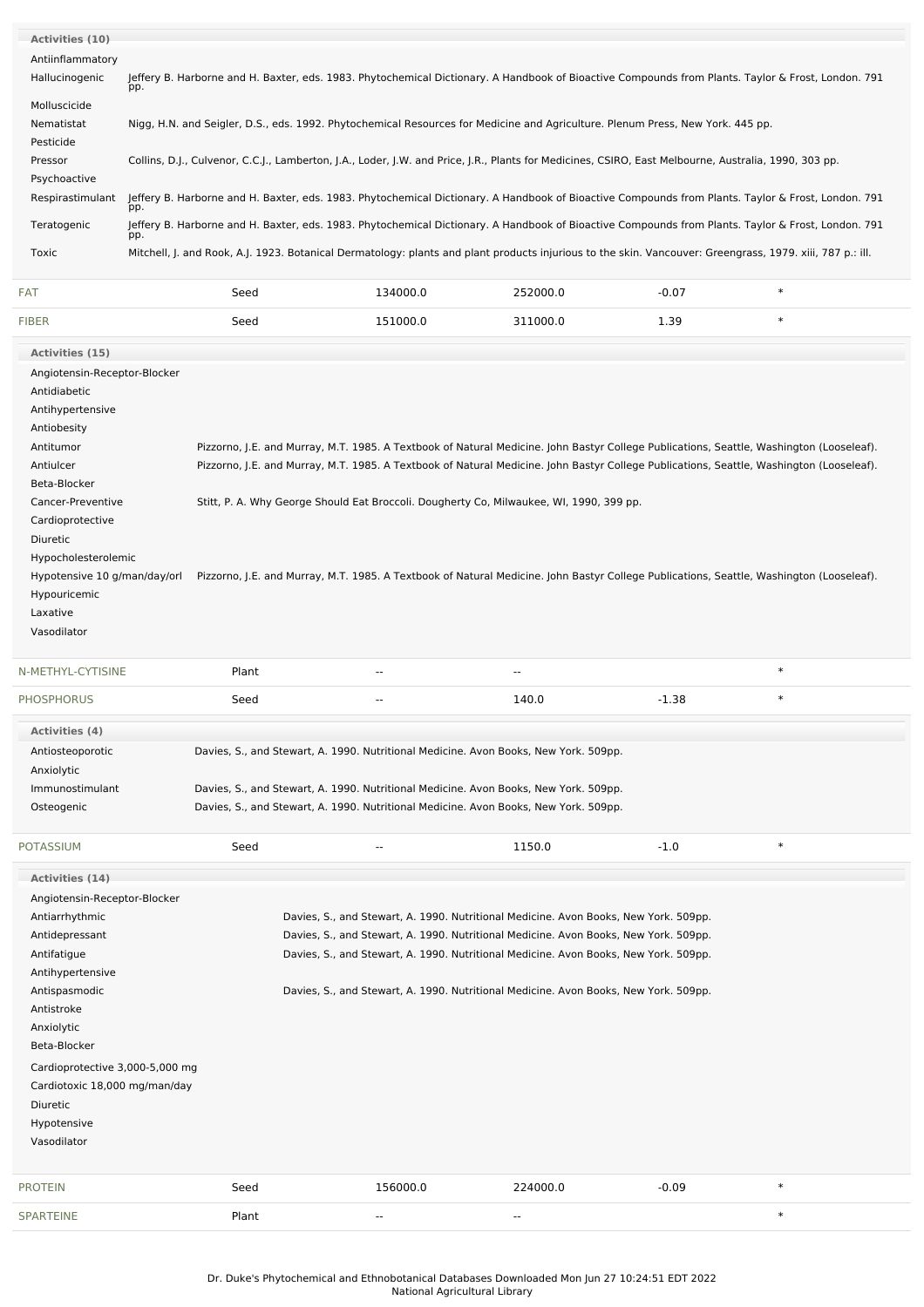| <b>Activities (10)</b>       |                                                                                                                                                           |          |          |         |        |  |
|------------------------------|-----------------------------------------------------------------------------------------------------------------------------------------------------------|----------|----------|---------|--------|--|
| Antiinflammatory             |                                                                                                                                                           |          |          |         |        |  |
| Hallucinogenic               | Jeffery B. Harborne and H. Baxter, eds. 1983. Phytochemical Dictionary. A Handbook of Bioactive Compounds from Plants. Taylor & Frost, London. 791<br>pp. |          |          |         |        |  |
| Molluscicide                 |                                                                                                                                                           |          |          |         |        |  |
| Nematistat                   | Nigg, H.N. and Seigler, D.S., eds. 1992. Phytochemical Resources for Medicine and Agriculture. Plenum Press, New York. 445 pp.                            |          |          |         |        |  |
| Pesticide                    |                                                                                                                                                           |          |          |         |        |  |
| Pressor                      | Collins, D.J., Culvenor, C.C.J., Lamberton, J.A., Loder, J.W. and Price, J.R., Plants for Medicines, CSIRO, East Melbourne, Australia, 1990, 303 pp.      |          |          |         |        |  |
| Psychoactive                 |                                                                                                                                                           |          |          |         |        |  |
| Respirastimulant             | Jeffery B. Harborne and H. Baxter, eds. 1983. Phytochemical Dictionary. A Handbook of Bioactive Compounds from Plants. Taylor & Frost, London. 791<br>pp. |          |          |         |        |  |
| Teratogenic                  | Jeffery B. Harborne and H. Baxter, eds. 1983. Phytochemical Dictionary. A Handbook of Bioactive Compounds from Plants. Taylor & Frost, London. 791<br>pp. |          |          |         |        |  |
| Toxic                        | Mitchell, J. and Rook, A.J. 1923. Botanical Dermatology: plants and plant products injurious to the skin. Vancouver: Greengrass, 1979. xiii, 787 p.: ill. |          |          |         |        |  |
| FAT                          | Seed                                                                                                                                                      | 134000.0 | 252000.0 | $-0.07$ | $\ast$ |  |
| <b>FIBER</b>                 | Seed                                                                                                                                                      | 151000.0 | 311000.0 | 1.39    | $\ast$ |  |
| Activities (15)              |                                                                                                                                                           |          |          |         |        |  |
| Angiotensin-Receptor-Blocker |                                                                                                                                                           |          |          |         |        |  |
| Antidiabetic                 |                                                                                                                                                           |          |          |         |        |  |
|                              |                                                                                                                                                           |          |          |         |        |  |

| Antihypertensive             |                                                                                                                                          |
|------------------------------|------------------------------------------------------------------------------------------------------------------------------------------|
| Antiobesity                  |                                                                                                                                          |
| Antitumor                    | Pizzorno, J.E. and Murray, M.T. 1985. A Textbook of Natural Medicine. John Bastyr College Publications, Seattle, Washington (Looseleaf). |
| Antiulcer                    | Pizzorno, J.E. and Murray, M.T. 1985. A Textbook of Natural Medicine. John Bastyr College Publications, Seattle, Washington (Looseleaf). |
| Beta-Blocker                 |                                                                                                                                          |
| Cancer-Preventive            | Stitt, P. A. Why George Should Eat Broccoli. Dougherty Co, Milwaukee, WI, 1990, 399 pp.                                                  |
| Cardioprotective             |                                                                                                                                          |
| Diuretic                     |                                                                                                                                          |
| Hypocholesterolemic          |                                                                                                                                          |
| Hypotensive 10 g/man/day/orl | Pizzorno, J.E. and Murray, M.T. 1985. A Textbook of Natural Medicine. John Bastyr College Publications, Seattle, Washington (Looseleaf). |
| Hypouricemic                 |                                                                                                                                          |
| Laxative                     |                                                                                                                                          |
| Vasodilator                  |                                                                                                                                          |

| N-METHYL-CYTISINE | Plant                                                                                | $- -$ | $- -$ |         | $\ast$ |
|-------------------|--------------------------------------------------------------------------------------|-------|-------|---------|--------|
| <b>PHOSPHORUS</b> | Seed                                                                                 | $- -$ | 140.0 | $-1.38$ | $\ast$ |
| Activities (4)    |                                                                                      |       |       |         |        |
| Antiosteoporotic  | Davies, S., and Stewart, A. 1990. Nutritional Medicine. Avon Books, New York. 509pp. |       |       |         |        |
| Anxiolytic        |                                                                                      |       |       |         |        |
| Immunostimulant   | Davies, S., and Stewart, A. 1990. Nutritional Medicine. Avon Books, New York. 509pp. |       |       |         |        |
| Osteogenic        | Davies, S., and Stewart, A. 1990. Nutritional Medicine. Avon Books, New York. 509pp. |       |       |         |        |
|                   |                                                                                      |       |       |         |        |
|                   |                                                                                      |       |       |         |        |

| <b>POTASSIUM</b>                | Seed  |          | 1150.0                                                                               | $-1.0$  | $\ast$ |
|---------------------------------|-------|----------|--------------------------------------------------------------------------------------|---------|--------|
| Activities (14)                 |       |          |                                                                                      |         |        |
| Angiotensin-Receptor-Blocker    |       |          |                                                                                      |         |        |
| Antiarrhythmic                  |       |          | Davies, S., and Stewart, A. 1990. Nutritional Medicine. Avon Books, New York. 509pp. |         |        |
| Antidepressant                  |       |          | Davies, S., and Stewart, A. 1990. Nutritional Medicine. Avon Books, New York. 509pp. |         |        |
| Antifatigue                     |       |          | Davies, S., and Stewart, A. 1990. Nutritional Medicine. Avon Books, New York. 509pp. |         |        |
| Antihypertensive                |       |          |                                                                                      |         |        |
| Antispasmodic                   |       |          | Davies, S., and Stewart, A. 1990. Nutritional Medicine. Avon Books, New York. 509pp. |         |        |
| Antistroke                      |       |          |                                                                                      |         |        |
| Anxiolytic                      |       |          |                                                                                      |         |        |
| Beta-Blocker                    |       |          |                                                                                      |         |        |
| Cardioprotective 3,000-5,000 mg |       |          |                                                                                      |         |        |
| Cardiotoxic 18,000 mg/man/day   |       |          |                                                                                      |         |        |
| <b>Diuretic</b>                 |       |          |                                                                                      |         |        |
| Hypotensive                     |       |          |                                                                                      |         |        |
| Vasodilator                     |       |          |                                                                                      |         |        |
|                                 |       |          |                                                                                      |         |        |
| <b>PROTEIN</b>                  | Seed  | 156000.0 | 224000.0                                                                             | $-0.09$ | $\ast$ |
| <b>SPARTEINE</b>                | Plant | $- -$    | $- -$                                                                                |         | $\ast$ |